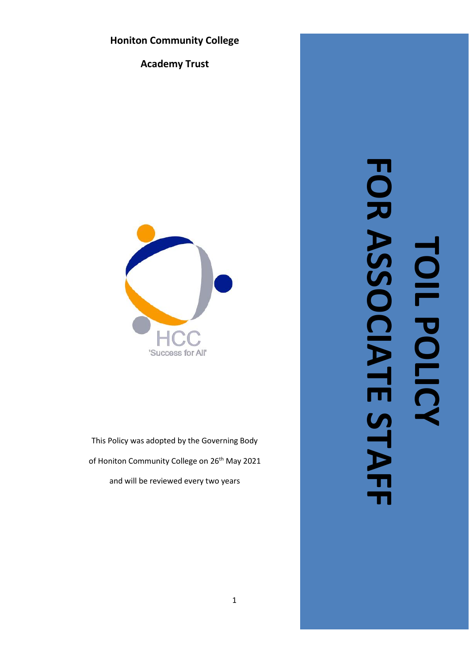# **Honiton Community College**

**Academy Trust**



This Policy was adopted by the Governing Body of Honiton Community College on 26<sup>th</sup> May 2021 and will be reviewed every two years

# FOR ASSOCIATE STAF **FOR ASSOCIATE STAFFTOIL POLICY** TOIL POLICY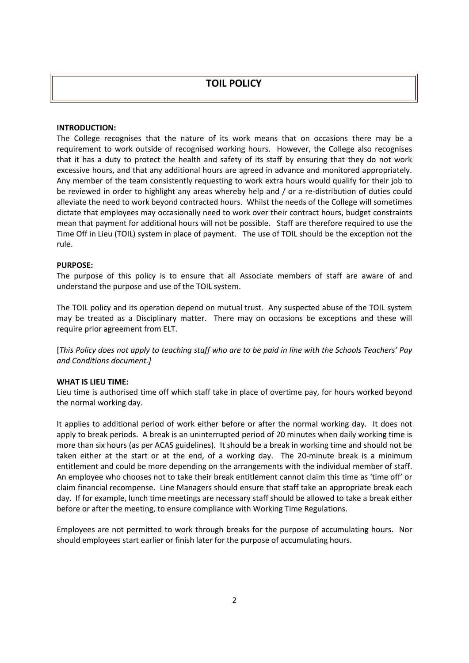## **TOIL POLICY**

#### **INTRODUCTION:**

The College recognises that the nature of its work means that on occasions there may be a requirement to work outside of recognised working hours. However, the College also recognises that it has a duty to protect the health and safety of its staff by ensuring that they do not work excessive hours, and that any additional hours are agreed in advance and monitored appropriately. Any member of the team consistently requesting to work extra hours would qualify for their job to be reviewed in order to highlight any areas whereby help and / or a re-distribution of duties could alleviate the need to work beyond contracted hours. Whilst the needs of the College will sometimes dictate that employees may occasionally need to work over their contract hours, budget constraints mean that payment for additional hours will not be possible. Staff are therefore required to use the Time Off in Lieu (TOIL) system in place of payment. The use of TOIL should be the exception not the rule.

#### **PURPOSE:**

The purpose of this policy is to ensure that all Associate members of staff are aware of and understand the purpose and use of the TOIL system.

The TOIL policy and its operation depend on mutual trust. Any suspected abuse of the TOIL system may be treated as a Disciplinary matter. There may on occasions be exceptions and these will require prior agreement from ELT.

[*This Policy does not apply to teaching staff who are to be paid in line with the Schools Teachers' Pay and Conditions document.]*

#### **WHAT IS LIEU TIME:**

Lieu time is authorised time off which staff take in place of overtime pay, for hours worked beyond the normal working day.

It applies to additional period of work either before or after the normal working day. It does not apply to break periods. A break is an uninterrupted period of 20 minutes when daily working time is more than six hours (as per ACAS guidelines). It should be a break in working time and should not be taken either at the start or at the end, of a working day. The 20-minute break is a minimum entitlement and could be more depending on the arrangements with the individual member of staff. An employee who chooses not to take their break entitlement cannot claim this time as 'time off' or claim financial recompense. Line Managers should ensure that staff take an appropriate break each day. If for example, lunch time meetings are necessary staff should be allowed to take a break either before or after the meeting, to ensure compliance with Working Time Regulations.

Employees are not permitted to work through breaks for the purpose of accumulating hours. Nor should employees start earlier or finish later for the purpose of accumulating hours.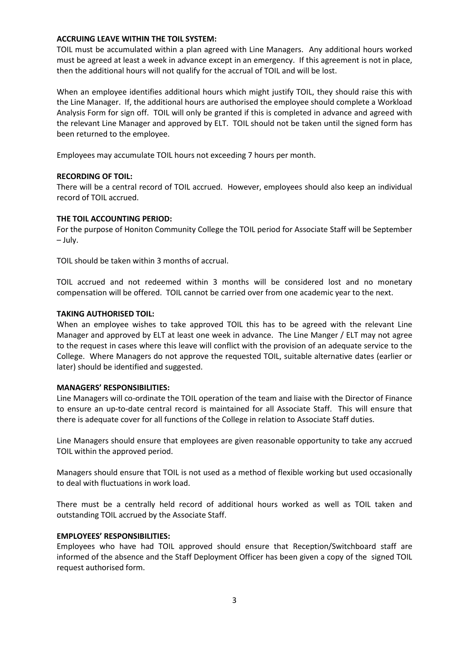#### **ACCRUING LEAVE WITHIN THE TOIL SYSTEM:**

TOIL must be accumulated within a plan agreed with Line Managers. Any additional hours worked must be agreed at least a week in advance except in an emergency. If this agreement is not in place, then the additional hours will not qualify for the accrual of TOIL and will be lost.

When an employee identifies additional hours which might justify TOIL, they should raise this with the Line Manager. If, the additional hours are authorised the employee should complete a Workload Analysis Form for sign off. TOIL will only be granted if this is completed in advance and agreed with the relevant Line Manager and approved by ELT. TOIL should not be taken until the signed form has been returned to the employee.

Employees may accumulate TOIL hours not exceeding 7 hours per month.

#### **RECORDING OF TOIL:**

There will be a central record of TOIL accrued. However, employees should also keep an individual record of TOIL accrued.

#### **THE TOIL ACCOUNTING PERIOD:**

For the purpose of Honiton Community College the TOIL period for Associate Staff will be September – July.

TOIL should be taken within 3 months of accrual.

TOIL accrued and not redeemed within 3 months will be considered lost and no monetary compensation will be offered. TOIL cannot be carried over from one academic year to the next.

#### **TAKING AUTHORISED TOIL:**

When an employee wishes to take approved TOIL this has to be agreed with the relevant Line Manager and approved by ELT at least one week in advance. The Line Manger / ELT may not agree to the request in cases where this leave will conflict with the provision of an adequate service to the College. Where Managers do not approve the requested TOIL, suitable alternative dates (earlier or later) should be identified and suggested.

#### **MANAGERS' RESPONSIBILITIES:**

Line Managers will co-ordinate the TOIL operation of the team and liaise with the Director of Finance to ensure an up-to-date central record is maintained for all Associate Staff. This will ensure that there is adequate cover for all functions of the College in relation to Associate Staff duties.

Line Managers should ensure that employees are given reasonable opportunity to take any accrued TOIL within the approved period.

Managers should ensure that TOIL is not used as a method of flexible working but used occasionally to deal with fluctuations in work load.

There must be a centrally held record of additional hours worked as well as TOIL taken and outstanding TOIL accrued by the Associate Staff.

#### **EMPLOYEES' RESPONSIBILITIES:**

Employees who have had TOIL approved should ensure that Reception/Switchboard staff are informed of the absence and the Staff Deployment Officer has been given a copy of the signed TOIL request authorised form.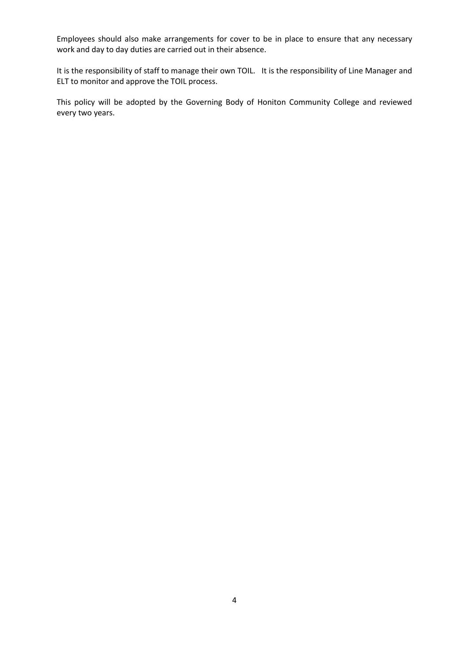Employees should also make arrangements for cover to be in place to ensure that any necessary work and day to day duties are carried out in their absence.

It is the responsibility of staff to manage their own TOIL. It is the responsibility of Line Manager and ELT to monitor and approve the TOIL process.

This policy will be adopted by the Governing Body of Honiton Community College and reviewed every two years.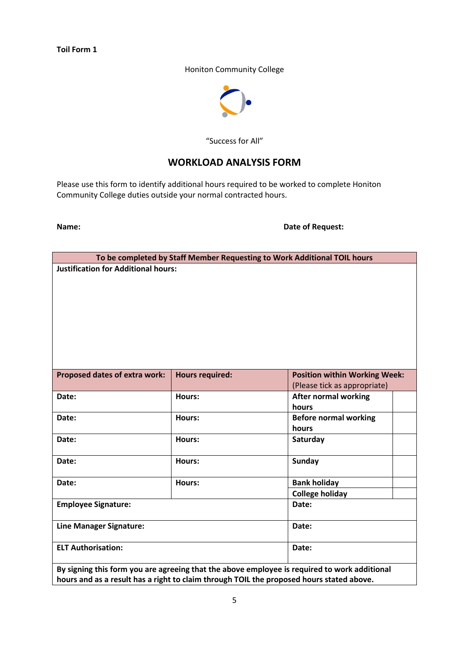#### **Toil Form 1**

#### Honiton Community College



#### "Success for All"

## **WORKLOAD ANALYSIS FORM**

Please use this form to identify additional hours required to be worked to complete Honiton Community College duties outside your normal contracted hours.

**Name: Date of Request:**

| To be completed by Staff Member Requesting to Work Additional TOIL hours                     |                        |                                      |  |
|----------------------------------------------------------------------------------------------|------------------------|--------------------------------------|--|
| <b>Justification for Additional hours:</b>                                                   |                        |                                      |  |
|                                                                                              |                        |                                      |  |
|                                                                                              |                        |                                      |  |
|                                                                                              |                        |                                      |  |
|                                                                                              |                        |                                      |  |
|                                                                                              |                        |                                      |  |
|                                                                                              |                        |                                      |  |
|                                                                                              |                        |                                      |  |
|                                                                                              |                        |                                      |  |
| Proposed dates of extra work:                                                                | <b>Hours required:</b> | <b>Position within Working Week:</b> |  |
|                                                                                              |                        | (Please tick as appropriate)         |  |
| Date:                                                                                        | Hours:                 | <b>After normal working</b>          |  |
|                                                                                              |                        | hours                                |  |
| Date:                                                                                        | Hours:                 | <b>Before normal working</b>         |  |
|                                                                                              |                        | hours                                |  |
| Date:                                                                                        | Hours:                 | Saturday                             |  |
|                                                                                              |                        |                                      |  |
| Date:                                                                                        | Hours:                 | <b>Sunday</b>                        |  |
| Date:                                                                                        | Hours:                 | <b>Bank holiday</b>                  |  |
|                                                                                              |                        | <b>College holiday</b>               |  |
| <b>Employee Signature:</b>                                                                   |                        | Date:                                |  |
|                                                                                              |                        |                                      |  |
| <b>Line Manager Signature:</b>                                                               |                        | Date:                                |  |
|                                                                                              |                        |                                      |  |
| <b>ELT Authorisation:</b>                                                                    |                        | Date:                                |  |
|                                                                                              |                        |                                      |  |
| By signing this form you are agreeing that the above employee is required to work additional |                        |                                      |  |

**hours and as a result has a right to claim through TOIL the proposed hours stated above.**